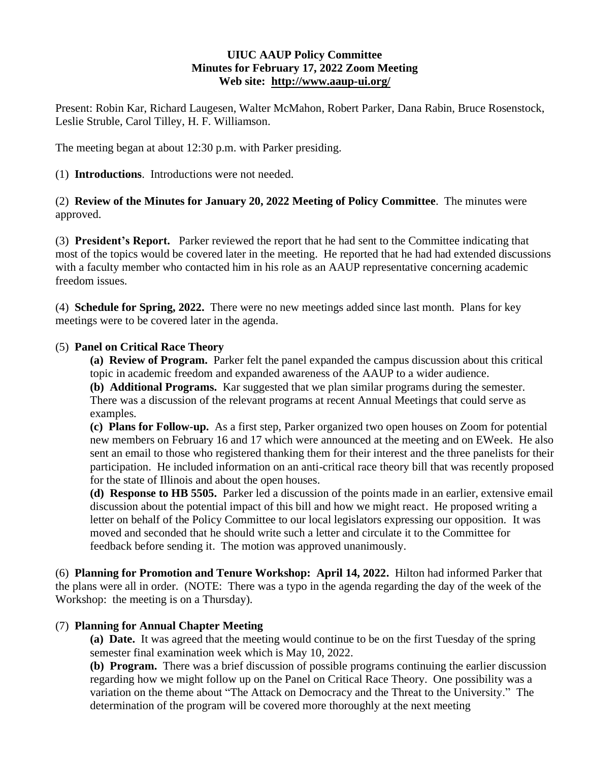### **UIUC AAUP Policy Committee Minutes for February 17, 2022 Zoom Meeting Web site: <http://www.aaup-ui.org/>**

Present: Robin Kar, Richard Laugesen, Walter McMahon, Robert Parker, Dana Rabin, Bruce Rosenstock, Leslie Struble, Carol Tilley, H. F. Williamson.

The meeting began at about 12:30 p.m. with Parker presiding.

(1) **Introductions**. Introductions were not needed.

(2) **Review of the Minutes for January 20, 2022 Meeting of Policy Committee**. The minutes were approved.

(3) **President's Report.** Parker reviewed the report that he had sent to the Committee indicating that most of the topics would be covered later in the meeting. He reported that he had had extended discussions with a faculty member who contacted him in his role as an AAUP representative concerning academic freedom issues.

(4) **Schedule for Spring, 2022.** There were no new meetings added since last month. Plans for key meetings were to be covered later in the agenda.

### (5) **Panel on Critical Race Theory**

**(a) Review of Program.** Parker felt the panel expanded the campus discussion about this critical topic in academic freedom and expanded awareness of the AAUP to a wider audience.

**(b) Additional Programs.** Kar suggested that we plan similar programs during the semester. There was a discussion of the relevant programs at recent Annual Meetings that could serve as examples.

**(c) Plans for Follow-up.** As a first step, Parker organized two open houses on Zoom for potential new members on February 16 and 17 which were announced at the meeting and on EWeek. He also sent an email to those who registered thanking them for their interest and the three panelists for their participation. He included information on an anti-critical race theory bill that was recently proposed for the state of Illinois and about the open houses.

**(d) Response to HB 5505.** Parker led a discussion of the points made in an earlier, extensive email discussion about the potential impact of this bill and how we might react. He proposed writing a letter on behalf of the Policy Committee to our local legislators expressing our opposition. It was moved and seconded that he should write such a letter and circulate it to the Committee for feedback before sending it. The motion was approved unanimously.

(6) **Planning for Promotion and Tenure Workshop: April 14, 2022.** Hilton had informed Parker that the plans were all in order. (NOTE: There was a typo in the agenda regarding the day of the week of the Workshop: the meeting is on a Thursday).

## (7) **Planning for Annual Chapter Meeting**

**(a) Date.** It was agreed that the meeting would continue to be on the first Tuesday of the spring semester final examination week which is May 10, 2022.

**(b) Program.** There was a brief discussion of possible programs continuing the earlier discussion regarding how we might follow up on the Panel on Critical Race Theory. One possibility was a variation on the theme about "The Attack on Democracy and the Threat to the University." The determination of the program will be covered more thoroughly at the next meeting